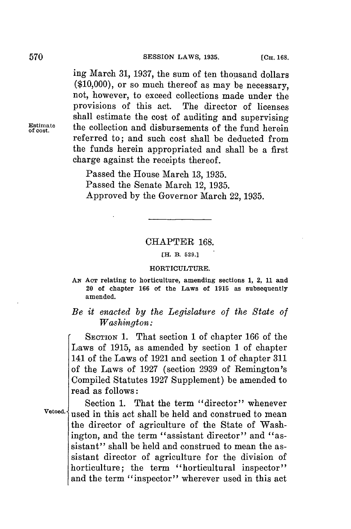ing March **31, 1937,** the sum of ten thousand dollars **(\$10,000),** or so much thereof as may be necessary, not, however, to exceed collections made under the provisions of this act. The director of licenses shall estimate the cost of auditing and supervising the collection and disbursements of the fund herein referred to; and such cost shall be deducted from the funds herein appropriated and shall be a first charge against the receipts thereof.

> Passed the House March **13, 1935.** Passed the Senate March 12, **1935.** Approved **by** the Governor March 22, **1935.**

### CHAPTER **168.**

**[H. B. 529.]**

#### **HORTICULTURE.**

**AN AcT relating to horticulture, amending sections 1, 2, 11 and 20 of chapter 166 of the Laws of 1915 as subsequently amended.**

# *Be it enacted by the Legislature of the State of Washington:*

**SECTION 1.** That section **1** of chapter **166** of the Laws of **1915,** as amended **by** section 1 of chapter 141 of the Laws of **1921** and section **1** of chapter **311** of the Laws of **1927** (section **2939** of Remington's Compiled Statutes **1927** Supplement) be amended to read as follows:

Section **1.** That the term "director" whenever Vetoed.<sup>{</sup>used in this act shall be held and construed to mean the director of agriculture of the State of Washington, and the term "assistant director" and "assistant" shall be held and construed to mean the assistant director of agriculture for the division of horticulture; the term "horticultural inspector" and the term "inspector" wherever used in this act

**of cost.**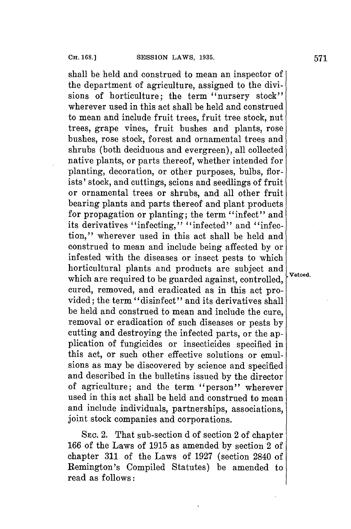shall be held and construed to mean an inspector of the department of agriculture, assigned to the divisions of horticulture; the term "nursery stock" wherever used in this act shall be held and construed to mean and include fruit trees, fruit tree stock, nut trees, grape vines, fruit bushes and plants, rose bushes, rose stock, forest and ornamental trees and shrubs (both deciduous and evergreen), all collected native plants, or parts thereof, whether intended **for** planting, decoration, or other purposes, bulbs, florists' stock, and cuttings, scions and seedlings of fruit or ornamental trees or shrubs, and all other fruit bearing plants and parts thereof and plant products for propagation or planting; the term "infect" and its derivatives "infecting," "infected" and "infection," wherever used in this act shall be held and construed to mean and include being affected **by** or infested with the diseases or insect pests to which horticultural plants and products are subject and which are required to be guarded against, controlled, cured, removed, and eradicated as in this act provided; the term "disinfect" and its derivatives shall be held and construed to mean and include the cure, removal or eradication of such diseases or pests **by** cutting and destroying the infected parts, or the application of fungicides or insecticides specified in this act, or such other effective solutions or emulsions as may be discovered **by** science and specified and described in the bulletins issued **by** the director of agriculture; and the term "person" wherever used in this act shall be held and construed to mean and include individuals, partnerships, associations, joint stock companies and corporations.

**SEC.** 2. That sub-section **d** of section 2 of chapter **166** of the Laws of **1915** as amended **by** section 2 of chapter **311** of the Laws of **1927** (section 2840 of Remington's Compiled Statutes) be amended to read as follows:

Vetoed.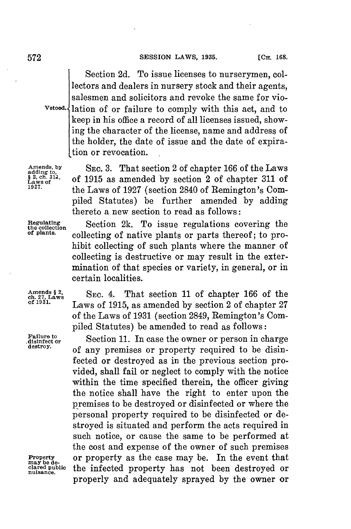Section **2d.** To issue licenses to nurserymen, collectors and dealers in nursery stock and their agents, salesmen and solicitors and revoke the same for vio-Vetoed. {lation of or failure to comply with this act, and to keep in his office a record of all licenses issued, showing the character of the license, name and address of the holder, the date of issue and the date of expiration or revocation.

Amends, by SEC. 3. That section 2 of chapter 166 of the Laws sadding to,<br> **Ex**, ch. 314, of 1915 as amended by section 2 of chapter 311 of **s**<sup>2</sup>,  $\frac{3}{2}$ ,  $\frac{3}{2}$ ,  $\frac{3}{2}$ ,  $\frac{3}{2}$ ,  $\frac{3}{2}$ ,  $\frac{3}{2}$ ,  $\frac{3}{2}$ ,  $\frac{3}{2}$ ,  $\frac{3}{2}$ ,  $\frac{3}{2}$ ,  $\frac{3}{2}$ ,  $\frac{3}{2}$ ,  $\frac{3}{2}$ ,  $\frac{3}{2}$ ,  $\frac{3}{2}$ ,  $\frac{3}{2}$ ,  $\frac{3}{2}$ ,  $\frac{3}{2}$ ,  $\frac{3}{2}$ ,  $\frac{3$ **1927.** the Laws of **1927** (section 2840 of Remington's Compiled Statutes) be further amended **by** adding thereto a new section to read as follows:

**Regulating**<br>the collection **2k.** To issue regulations covering the<br>of plants. collecting of native plants or parts thereof: to pro**of plants.** collecting of native plants or parts thereof; to prohibit collecting of such plants where the manner of collecting is destructive or may result in the extermination of that species or variety, in general, or in certain localities.

**Failure to**

Amends  $\S$  2,<br>ch. 27, Laws SEC. 4. That section 11 of chapter 166 of the<br>of 1931.<br> $\frac{1015}{20}$  as amended by section 2 of chapter 27 **of 1931.** Laws of **1915,** as amended **by** section 2 of chapter **<sup>27</sup>** of the Laws of **1931** (section 2849, Remington's Compiled Statutes) be amended to read as follows:

**disinfect or** Section **11.** In case the owner or person in charge **destroy.** of any premises or property required to be disinfected or destroyed as in the previous section provided, shall fail or neglect to comply with the notice within the time specified therein, the officer giving the notice shall have the right to enter upon the premises to be destroyed or disinfected or where the personal property required to be disinfected or destroyed is situated and perform the acts required in such notice, or cause the same to be performed at the cost and expense of the owner of such premises **Property** or property as the case may be. In the event that **lared public** the infected property has not been destroyed or **nuisance.** properly and adequately sprayed **by** the owner or

may be de-<br>clared public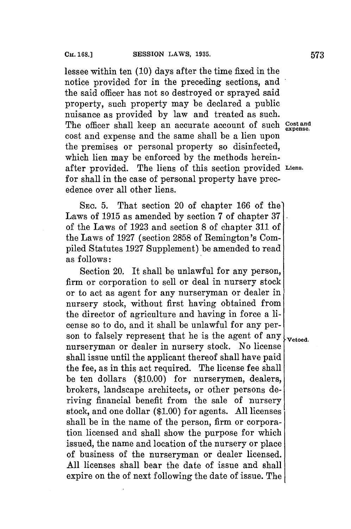lessee within ten **(10)** days after the time fixed in the notice provided **for** in the preceding sections, and the said officer has not so destroyed or sprayed said property, such property may be declared a public nuisance as provided **by** law and treated as such. The officer shall keep an accurate account of such **Cost and expense.** cost and expense and the same shall be a lien upon the premises or personal property so disinfected, which lien may be enforced **by** the methods hereinafter provided. The liens of this section provided **Liens. for** shall in the case of personal property have precedence over all other liens.

**SEC. 5.** That section 20 of chapter **166** of the' Laws of **1915** as amended **by** section **7** of chapter **37** of the Laws of **1923** and section **8** of chapter **311** of the Laws of **1927** (section **2858** of Remington's Compiled Statutes **1927** Supplement) be amended to read as follows:

Section 20. It shall be unlawful for any person, firm or corporation to sell or deal in nursery stock or to act as agent for any nurseryman or dealer in nursery stock, without first having obtained from the director of agriculture and having in force a license so to do, and it shall be unlawful for any person to falsely represent that he is the agent of any  $\mathbf{y}_{\text{vetoed}}$ . nurseryman or dealer in nursery stock. No license shall issue until the applicant thereof shall have paid the fee, as in this act required. The license fee shall be ten dollars **(\$10.00)** for nurserymen, dealers, brokers, landscape architects, or other persons deriving financial benefit from the sale of nursery stock, and one dollar **(\$1.00)** for agents. **All** licenses shall be in the name of the person, firm or corporation licensed and shall show the purpose for which issued, the name and location of the nursery or place of business of the nurseryman or dealer licensed. **All** licenses shall bear the date of issue and shall expire on the of next following the date of issue. The